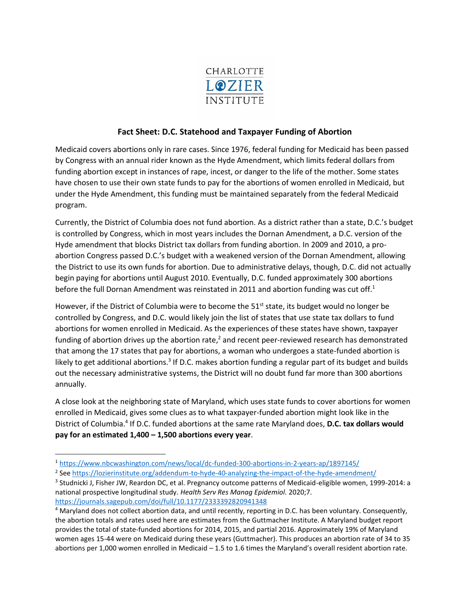

## **Fact Sheet: D.C. Statehood and Taxpayer Funding of Abortion**

Medicaid covers abortions only in rare cases. Since 1976, federal funding for Medicaid has been passed by Congress with an annual rider known as the Hyde Amendment, which limits federal dollars from funding abortion except in instances of rape, incest, or danger to the life of the mother. Some states have chosen to use their own state funds to pay for the abortions of women enrolled in Medicaid, but under the Hyde Amendment, this funding must be maintained separately from the federal Medicaid program.

Currently, the District of Columbia does not fund abortion. As a district rather than a state, D.C.'s budget is controlled by Congress, which in most years includes the Dornan Amendment, a D.C. version of the Hyde amendment that blocks District tax dollars from funding abortion. In 2009 and 2010, a proabortion Congress passed D.C.'s budget with a weakened version of the Dornan Amendment, allowing the District to use its own funds for abortion. Due to administrative delays, though, D.C. did not actually begin paying for abortions until August 2010. Eventually, D.C. funded approximately 300 abortions before the full Dornan Amendment was reinstated in 2011 and abortion funding was cut off.<sup>1</sup>

However, if the District of Columbia were to become the  $51^{st}$  state, its budget would no longer be controlled by Congress, and D.C. would likely join the list of states that use state tax dollars to fund abortions for women enrolled in Medicaid. As the experiences of these states have shown, taxpayer funding of abortion drives up the abortion rate,<sup>2</sup> and recent peer-reviewed research has demonstrated that among the 17 states that pay for abortions, a woman who undergoes a state-funded abortion is likely to get additional abortions.<sup>3</sup> If D.C. makes abortion funding a regular part of its budget and builds out the necessary administrative systems, the District will no doubt fund far more than 300 abortions annually.

A close look at the neighboring state of Maryland, which uses state funds to cover abortions for women enrolled in Medicaid, gives some clues as to what taxpayer-funded abortion might look like in the District of Columbia.<sup>4</sup> If D.C. funded abortions at the same rate Maryland does, D.C. tax dollars would **pay for an estimated 1,400 – 1,500 abortions every year**.

<sup>1</sup> <https://www.nbcwashington.com/news/local/dc-funded-300-abortions-in-2-years-ap/1897145/>

<sup>&</sup>lt;sup>2</sup> See<https://lozierinstitute.org/addendum-to-hyde-40-analyzing-the-impact-of-the-hyde-amendment/>

<sup>3</sup> Studnicki J, Fisher JW, Reardon DC, et al. Pregnancy outcome patterns of Medicaid-eligible women, 1999-2014: a national prospective longitudinal study. *Health Serv Res Manag Epidemiol.* 2020;7. <https://journals.sagepub.com/doi/full/10.1177/2333392820941348>

<sup>4</sup> Maryland does not collect abortion data, and until recently, reporting in D.C. has been voluntary. Consequently, the abortion totals and rates used here are estimates from the Guttmacher Institute. A Maryland budget report provides the total of state-funded abortions for 2014, 2015, and partial 2016. Approximately 19% of Maryland women ages 15-44 were on Medicaid during these years (Guttmacher). This produces an abortion rate of 34 to 35 abortions per 1,000 women enrolled in Medicaid – 1.5 to 1.6 times the Maryland's overall resident abortion rate.